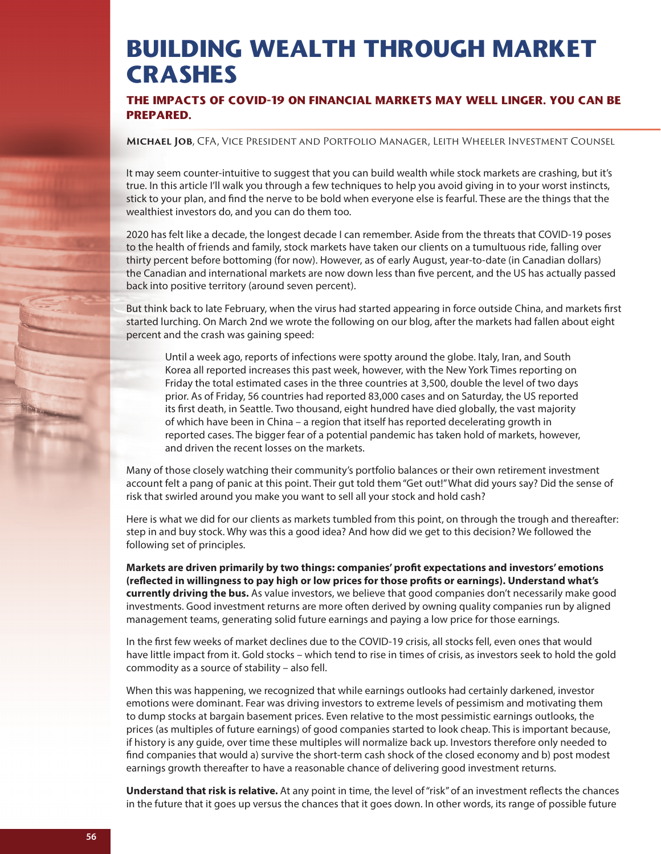## **BUILDING WEALTH THROUGH MARKET CRASHES**

**THE IMPACTS OF COVID-19 ON FINANCIAL MARKETS MAY WELL LINGER. YOU CAN BE PREPARED.** 

**Michael Job**, CFA, Vice President and Portfolio Manager, Leith Wheeler Investment Counsel

It may seem counter-intuitive to suggest that you can build wealth while stock markets are crashing, but it's true. In this article I'll walk you through a few techniques to help you avoid giving in to your worst instincts, stick to your plan, and find the nerve to be bold when everyone else is fearful. These are the things that the wealthiest investors do, and you can do them too.

2020 has felt like a decade, the longest decade I can remember. Aside from the threats that COVID-19 poses to the health of friends and family, stock markets have taken our clients on a tumultuous ride, falling over thirty percent before bottoming (for now). However, as of early August, year-to-date (in Canadian dollars) the Canadian and international markets are now down less than five percent, and the US has actually passed back into positive territory (around seven percent).

But think back to late February, when the virus had started appearing in force outside China, and markets first started lurching. On March 2nd we wrote the following on our blog, after the markets had fallen about eight percent and the crash was gaining speed:

Until a week ago, reports of infections were spotty around the globe. Italy, Iran, and South Korea all reported increases this past week, however, with the New York Times reporting on Friday the total estimated cases in the three countries at 3,500, double the level of two days prior. As of Friday, 56 countries had reported 83,000 cases and on Saturday, the US reported its first death, in Seattle. Two thousand, eight hundred have died globally, the vast majority of which have been in China – a region that itself has reported decelerating growth in reported cases. The bigger fear of a potential pandemic has taken hold of markets, however, and driven the recent losses on the markets.

Many of those closely watching their community's portfolio balances or their own retirement investment account felt a pang of panic at this point. Their gut told them "Get out!" What did yours say? Did the sense of risk that swirled around you make you want to sell all your stock and hold cash?

Here is what we did for our clients as markets tumbled from this point, on through the trough and thereafter: step in and buy stock. Why was this a good idea? And how did we get to this decision? We followed the following set of principles.

Markets are driven primarily by two things: companies' profit expectations and investors' emotions (reflected in willingness to pay high or low prices for those profits or earnings). Understand what's **currently driving the bus.** As value investors, we believe that good companies don't necessarily make good investments. Good investment returns are more often derived by owning quality companies run by aligned management teams, generating solid future earnings and paying a low price for those earnings.

In the first few weeks of market declines due to the COVID-19 crisis, all stocks fell, even ones that would have little impact from it. Gold stocks – which tend to rise in times of crisis, as investors seek to hold the gold commodity as a source of stability – also fell.

When this was happening, we recognized that while earnings outlooks had certainly darkened, investor emotions were dominant. Fear was driving investors to extreme levels of pessimism and motivating them to dump stocks at bargain basement prices. Even relative to the most pessimistic earnings outlooks, the prices (as multiples of future earnings) of good companies started to look cheap. This is important because, if history is any guide, over time these multiples will normalize back up. Investors therefore only needed to find companies that would a) survive the short-term cash shock of the closed economy and b) post modest earnings growth thereafter to have a reasonable chance of delivering good investment returns.

**Understand that risk is relative.** At any point in time, the level of "risk" of an investment reflects the chances in the future that it goes up versus the chances that it goes down. In other words, its range of possible future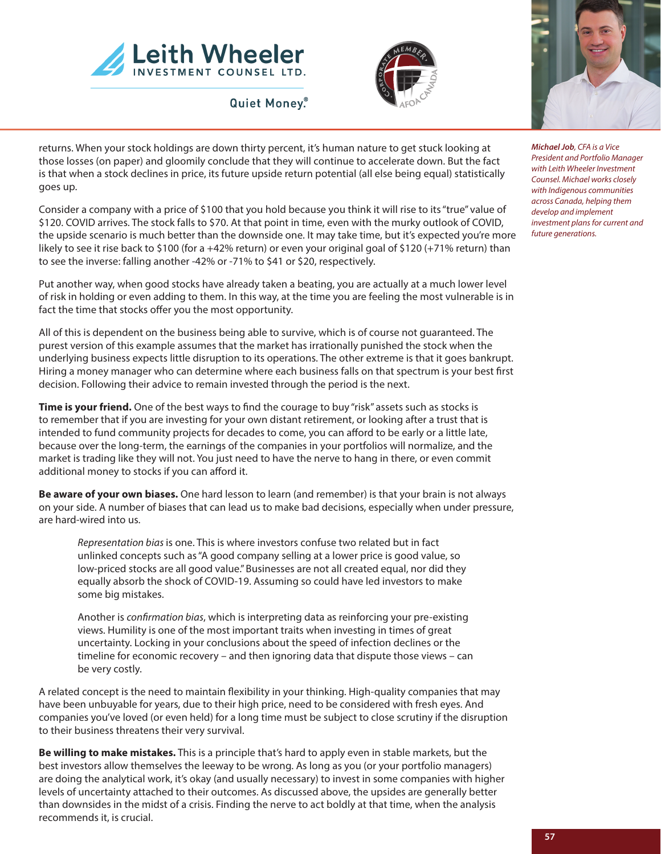

**Quiet Money.** 





*Michael Job, CFA is a Vice President and Portfolio Manager with Leith Wheeler Investment Counsel. Michael works closely with Indigenous communities across Canada, helping them develop and implement investment plans for current and future generations.*

returns. When your stock holdings are down thirty percent, it's human nature to get stuck looking at those losses (on paper) and gloomily conclude that they will continue to accelerate down. But the fact is that when a stock declines in price, its future upside return potential (all else being equal) statistically goes up.

Consider a company with a price of \$100 that you hold because you think it will rise to its "true" value of \$120. COVID arrives. The stock falls to \$70. At that point in time, even with the murky outlook of COVID, the upside scenario is much better than the downside one. It may take time, but it's expected you're more likely to see it rise back to \$100 (for a +42% return) or even your original goal of \$120 (+71% return) than to see the inverse: falling another -42% or -71% to \$41 or \$20, respectively.

Put another way, when good stocks have already taken a beating, you are actually at a much lower level of risk in holding or even adding to them. In this way, at the time you are feeling the most vulnerable is in fact the time that stocks offer you the most opportunity.

All of this is dependent on the business being able to survive, which is of course not guaranteed. The purest version of this example assumes that the market has irrationally punished the stock when the underlying business expects little disruption to its operations. The other extreme is that it goes bankrupt. Hiring a money manager who can determine where each business falls on that spectrum is your best first decision. Following their advice to remain invested through the period is the next.

**Time is your friend.** One of the best ways to find the courage to buy "risk" assets such as stocks is to remember that if you are investing for your own distant retirement, or looking after a trust that is intended to fund community projects for decades to come, you can afford to be early or a little late, because over the long-term, the earnings of the companies in your portfolios will normalize, and the market is trading like they will not. You just need to have the nerve to hang in there, or even commit additional money to stocks if you can afford it.

**Be aware of your own biases.** One hard lesson to learn (and remember) is that your brain is not always on your side. A number of biases that can lead us to make bad decisions, especially when under pressure, are hard-wired into us.

*Representation bias* is one. This is where investors confuse two related but in fact unlinked concepts such as "A good company selling at a lower price is good value, so low-priced stocks are all good value." Businesses are not all created equal, nor did they equally absorb the shock of COVID-19. Assuming so could have led investors to make some big mistakes.

Another is *confirmation bias*, which is interpreting data as reinforcing your pre-existing views. Humility is one of the most important traits when investing in times of great uncertainty. Locking in your conclusions about the speed of infection declines or the timeline for economic recovery – and then ignoring data that dispute those views – can be very costly.

A related concept is the need to maintain flexibility in your thinking. High-quality companies that may have been unbuyable for years, due to their high price, need to be considered with fresh eyes. And companies you've loved (or even held) for a long time must be subject to close scrutiny if the disruption to their business threatens their very survival.

**Be willing to make mistakes.** This is a principle that's hard to apply even in stable markets, but the best investors allow themselves the leeway to be wrong. As long as you (or your portfolio managers) are doing the analytical work, it's okay (and usually necessary) to invest in some companies with higher levels of uncertainty attached to their outcomes. As discussed above, the upsides are generally better than downsides in the midst of a crisis. Finding the nerve to act boldly at that time, when the analysis recommends it, is crucial.